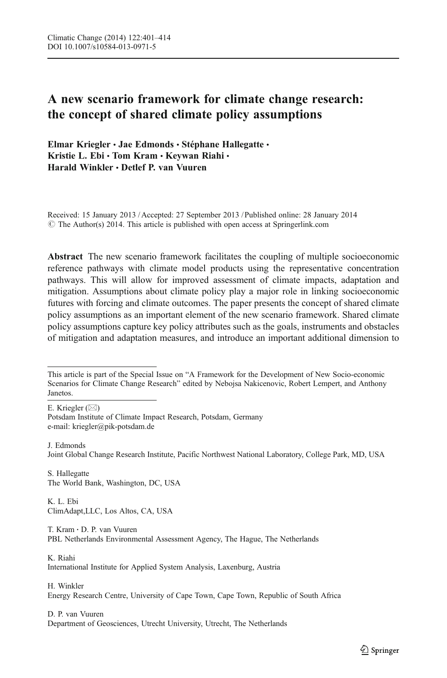# A new scenario framework for climate change research: the concept of shared climate policy assumptions

Elmar Kriegler · Jae Edmonds · Stéphane Hallegatte · Kristie L. Ebi · Tom Kram · Keywan Riahi · Harald Winkler & Detlef P. van Vuuren

Received: 15 January 2013 / Accepted: 27 September 2013 / Published online: 28 January 2014  $\circ$  The Author(s) 2014. This article is published with open access at Springerlink.com

Abstract The new scenario framework facilitates the coupling of multiple socioeconomic reference pathways with climate model products using the representative concentration pathways. This will allow for improved assessment of climate impacts, adaptation and mitigation. Assumptions about climate policy play a major role in linking socioeconomic futures with forcing and climate outcomes. The paper presents the concept of shared climate policy assumptions as an important element of the new scenario framework. Shared climate policy assumptions capture key policy attributes such as the goals, instruments and obstacles of mitigation and adaptation measures, and introduce an important additional dimension to

E. Kriegler  $(\boxtimes)$ 

Potsdam Institute of Climate Impact Research, Potsdam, Germany e-mail: kriegler@pik-potsdam.de

J. Edmonds Joint Global Change Research Institute, Pacific Northwest National Laboratory, College Park, MD, USA

S. Hallegatte The World Bank, Washington, DC, USA

K. L. Ebi ClimAdapt,LLC, Los Altos, CA, USA

T. Kram : D. P. van Vuuren PBL Netherlands Environmental Assessment Agency, The Hague, The Netherlands

K. Riahi International Institute for Applied System Analysis, Laxenburg, Austria

H. Winkler Energy Research Centre, University of Cape Town, Cape Town, Republic of South Africa

D. P. van Vuuren Department of Geosciences, Utrecht University, Utrecht, The Netherlands

This article is part of the Special Issue on "A Framework for the Development of New Socio-economic Scenarios for Climate Change Research" edited by Nebojsa Nakicenovic, Robert Lempert, and Anthony Janetos.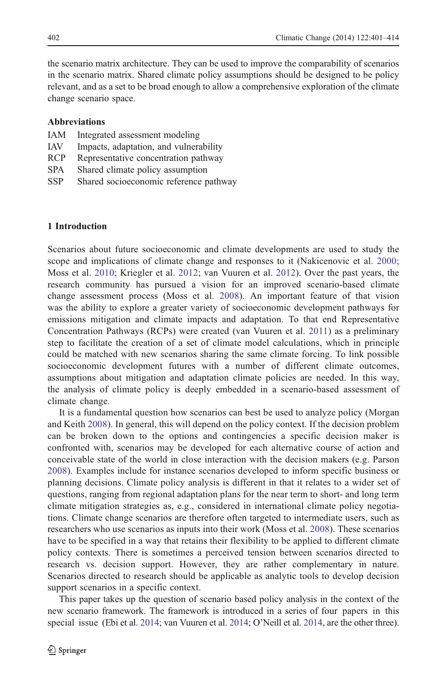the scenario matrix architecture. They can be used to improve the comparability of scenarios in the scenario matrix. Shared climate policy assumptions should be designed to be policy relevant, and as a set to be broad enough to allow a comprehensive exploration of the climate change scenario space.

## Abbreviations

- IAM Integrated assessment modeling
- IAV Impacts, adaptation, and vulnerability<br>RCP Representative concentration pathway
- Representative concentration pathway
- SPA Shared climate policy assumption
- SSP Shared socioeconomic reference pathway

## 1 Introduction

Scenarios about future socioeconomic and climate developments are used to study the scope and implications of climate change and responses to it (Nakicenovic et al. [2000](#page-12-0); Moss et al. [2010](#page-12-0); Kriegler et al. [2012;](#page-12-0) van Vuuren et al. [2012\)](#page-12-0). Over the past years, the research community has pursued a vision for an improved scenario-based climate change assessment process (Moss et al. [2008](#page-12-0)). An important feature of that vision was the ability to explore a greater variety of socioeconomic development pathways for emissions mitigation and climate impacts and adaptation. To that end Representative Concentration Pathways (RCPs) were created (van Vuuren et al. [2011\)](#page-12-0) as a preliminary step to facilitate the creation of a set of climate model calculations, which in principle could be matched with new scenarios sharing the same climate forcing. To link possible socioeconomic development futures with a number of different climate outcomes, assumptions about mitigation and adaptation climate policies are needed. In this way, the analysis of climate policy is deeply embedded in a scenario-based assessment of climate change.

It is a fundamental question how scenarios can best be used to analyze policy (Morgan and Keith [2008\)](#page-12-0). In general, this will depend on the policy context. If the decision problem can be broken down to the options and contingencies a specific decision maker is confronted with, scenarios may be developed for each alternative course of action and conceivable state of the world in close interaction with the decision makers (e.g. Parson [2008](#page-12-0)). Examples include for instance scenarios developed to inform specific business or planning decisions. Climate policy analysis is different in that it relates to a wider set of questions, ranging from regional adaptation plans for the near term to short- and long term climate mitigation strategies as, e.g., considered in international climate policy negotiations. Climate change scenarios are therefore often targeted to intermediate users, such as researchers who use scenarios as inputs into their work (Moss et al. [2008](#page-12-0)). These scenarios have to be specified in a way that retains their flexibility to be applied to different climate policy contexts. There is sometimes a perceived tension between scenarios directed to research vs. decision support. However, they are rather complementary in nature. Scenarios directed to research should be applicable as analytic tools to develop decision support scenarios in a specific context.

This paper takes up the question of scenario based policy analysis in the context of the new scenario framework. The framework is introduced in a series of four papers in this special issue (Ebi et al. [2014;](#page-12-0) van Vuuren et al. [2014](#page-13-0); O'Neill et al. [2014](#page-12-0), are the other three).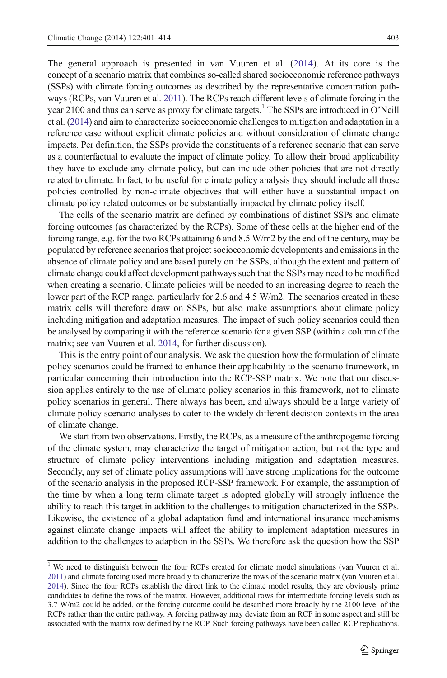The general approach is presented in van Vuuren et al. ([2014](#page-13-0)). At its core is the concept of a scenario matrix that combines so-called shared socioeconomic reference pathways (SSPs) with climate forcing outcomes as described by the representative concentration pathways (RCPs, van Vuuren et al. [2011](#page-12-0)). The RCPs reach different levels of climate forcing in the year 2100 and thus can serve as proxy for climate targets.<sup>1</sup> The SSPs are introduced in O'Neill et al. [\(2014](#page-12-0)) and aim to characterize socioeconomic challenges to mitigation and adaptation in a reference case without explicit climate policies and without consideration of climate change impacts. Per definition, the SSPs provide the constituents of a reference scenario that can serve as a counterfactual to evaluate the impact of climate policy. To allow their broad applicability they have to exclude any climate policy, but can include other policies that are not directly related to climate. In fact, to be useful for climate policy analysis they should include all those policies controlled by non-climate objectives that will either have a substantial impact on climate policy related outcomes or be substantially impacted by climate policy itself.

The cells of the scenario matrix are defined by combinations of distinct SSPs and climate forcing outcomes (as characterized by the RCPs). Some of these cells at the higher end of the forcing range, e.g. for the two RCPs attaining 6 and 8.5 W/m2 by the end of the century, may be populated by reference scenarios that project socioeconomic developments and emissions in the absence of climate policy and are based purely on the SSPs, although the extent and pattern of climate change could affect development pathways such that the SSPs may need to be modified when creating a scenario. Climate policies will be needed to an increasing degree to reach the lower part of the RCP range, particularly for 2.6 and 4.5 W/m2. The scenarios created in these matrix cells will therefore draw on SSPs, but also make assumptions about climate policy including mitigation and adaptation measures. The impact of such policy scenarios could then be analysed by comparing it with the reference scenario for a given SSP (within a column of the matrix; see van Vuuren et al. [2014](#page-13-0), for further discussion).

This is the entry point of our analysis. We ask the question how the formulation of climate policy scenarios could be framed to enhance their applicability to the scenario framework, in particular concerning their introduction into the RCP-SSP matrix. We note that our discussion applies entirely to the use of climate policy scenarios in this framework, not to climate policy scenarios in general. There always has been, and always should be a large variety of climate policy scenario analyses to cater to the widely different decision contexts in the area of climate change.

We start from two observations. Firstly, the RCPs, as a measure of the anthropogenic forcing of the climate system, may characterize the target of mitigation action, but not the type and structure of climate policy interventions including mitigation and adaptation measures. Secondly, any set of climate policy assumptions will have strong implications for the outcome of the scenario analysis in the proposed RCP-SSP framework. For example, the assumption of the time by when a long term climate target is adopted globally will strongly influence the ability to reach this target in addition to the challenges to mitigation characterized in the SSPs. Likewise, the existence of a global adaptation fund and international insurance mechanisms against climate change impacts will affect the ability to implement adaptation measures in addition to the challenges to adaption in the SSPs. We therefore ask the question how the SSP

 $1$  We need to distinguish between the four RCPs created for climate model simulations (van Vuuren et al. [2011](#page-12-0)) and climate forcing used more broadly to characterize the rows of the scenario matrix (van Vuuren et al. [2014\)](#page-13-0). Since the four RCPs establish the direct link to the climate model results, they are obviously prime candidates to define the rows of the matrix. However, additional rows for intermediate forcing levels such as 3.7 W/m2 could be added, or the forcing outcome could be described more broadly by the 2100 level of the RCPs rather than the entire pathway. A forcing pathway may deviate from an RCP in some aspect and still be associated with the matrix row defined by the RCP. Such forcing pathways have been called RCP replications.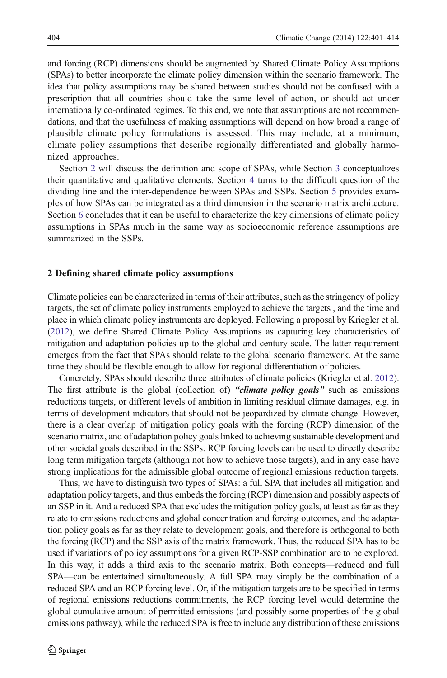and forcing (RCP) dimensions should be augmented by Shared Climate Policy Assumptions (SPAs) to better incorporate the climate policy dimension within the scenario framework. The idea that policy assumptions may be shared between studies should not be confused with a prescription that all countries should take the same level of action, or should act under internationally co-ordinated regimes. To this end, we note that assumptions are not recommendations, and that the usefulness of making assumptions will depend on how broad a range of plausible climate policy formulations is assessed. This may include, at a minimum, climate policy assumptions that describe regionally differentiated and globally harmonized approaches.

Section 2 will discuss the definition and scope of SPAs, while Section [3](#page-5-0) conceptualizes their quantitative and qualitative elements. Section [4](#page-7-0) turns to the difficult question of the dividing line and the inter-dependence between SPAs and SSPs. Section [5](#page-9-0) provides examples of how SPAs can be integrated as a third dimension in the scenario matrix architecture. Section [6](#page-10-0) concludes that it can be useful to characterize the key dimensions of climate policy assumptions in SPAs much in the same way as socioeconomic reference assumptions are summarized in the SSPs.

#### 2 Defining shared climate policy assumptions

Climate policies can be characterized in terms of their attributes, such as the stringency of policy targets, the set of climate policy instruments employed to achieve the targets , and the time and place in which climate policy instruments are deployed. Following a proposal by Kriegler et al. ([2012](#page-12-0)), we define Shared Climate Policy Assumptions as capturing key characteristics of mitigation and adaptation policies up to the global and century scale. The latter requirement emerges from the fact that SPAs should relate to the global scenario framework. At the same time they should be flexible enough to allow for regional differentiation of policies.

Concretely, SPAs should describe three attributes of climate policies (Kriegler et al. [2012](#page-12-0)). The first attribute is the global (collection of) "climate policy goals" such as emissions reductions targets, or different levels of ambition in limiting residual climate damages, e.g. in terms of development indicators that should not be jeopardized by climate change. However, there is a clear overlap of mitigation policy goals with the forcing (RCP) dimension of the scenario matrix, and of adaptation policy goals linked to achieving sustainable development and other societal goals described in the SSPs. RCP forcing levels can be used to directly describe long term mitigation targets (although not how to achieve those targets), and in any case have strong implications for the admissible global outcome of regional emissions reduction targets.

Thus, we have to distinguish two types of SPAs: a full SPA that includes all mitigation and adaptation policy targets, and thus embeds the forcing (RCP) dimension and possibly aspects of an SSP in it. And a reduced SPA that excludes the mitigation policy goals, at least as far as they relate to emissions reductions and global concentration and forcing outcomes, and the adaptation policy goals as far as they relate to development goals, and therefore is orthogonal to both the forcing (RCP) and the SSP axis of the matrix framework. Thus, the reduced SPA has to be used if variations of policy assumptions for a given RCP-SSP combination are to be explored. In this way, it adds a third axis to the scenario matrix. Both concepts—reduced and full SPA—can be entertained simultaneously. A full SPA may simply be the combination of a reduced SPA and an RCP forcing level. Or, if the mitigation targets are to be specified in terms of regional emissions reductions commitments, the RCP forcing level would determine the global cumulative amount of permitted emissions (and possibly some properties of the global emissions pathway), while the reduced SPA is free to include any distribution of these emissions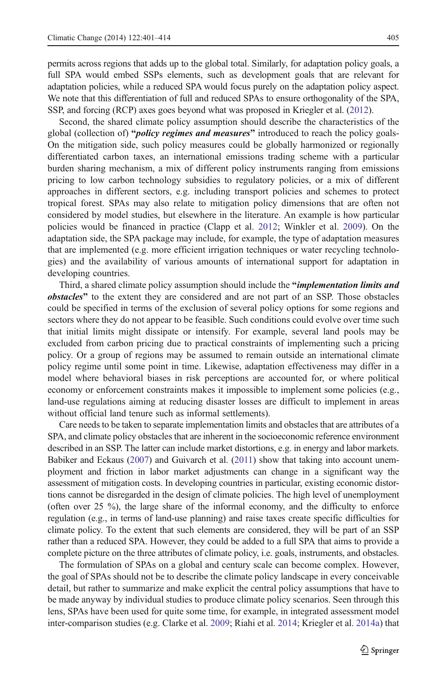permits across regions that adds up to the global total. Similarly, for adaptation policy goals, a full SPA would embed SSPs elements, such as development goals that are relevant for adaptation policies, while a reduced SPA would focus purely on the adaptation policy aspect. We note that this differentiation of full and reduced SPAs to ensure orthogonality of the SPA, SSP, and forcing (RCP) axes goes beyond what was proposed in Kriegler et al. ([2012](#page-12-0)).

Second, the shared climate policy assumption should describe the characteristics of the global (collection of) "*policy regimes and measures*" introduced to reach the policy goals-On the mitigation side, such policy measures could be globally harmonized or regionally differentiated carbon taxes, an international emissions trading scheme with a particular burden sharing mechanism, a mix of different policy instruments ranging from emissions pricing to low carbon technology subsidies to regulatory policies, or a mix of different approaches in different sectors, e.g. including transport policies and schemes to protect tropical forest. SPAs may also relate to mitigation policy dimensions that are often not considered by model studies, but elsewhere in the literature. An example is how particular policies would be financed in practice (Clapp et al. [2012;](#page-12-0) Winkler et al. [2009](#page-13-0)). On the adaptation side, the SPA package may include, for example, the type of adaptation measures that are implemented (e.g. more efficient irrigation techniques or water recycling technologies) and the availability of various amounts of international support for adaptation in developing countries.

Third, a shared climate policy assumption should include the "*implementation limits and* obstacles" to the extent they are considered and are not part of an SSP. Those obstacles could be specified in terms of the exclusion of several policy options for some regions and sectors where they do not appear to be feasible. Such conditions could evolve over time such that initial limits might dissipate or intensify. For example, several land pools may be excluded from carbon pricing due to practical constraints of implementing such a pricing policy. Or a group of regions may be assumed to remain outside an international climate policy regime until some point in time. Likewise, adaptation effectiveness may differ in a model where behavioral biases in risk perceptions are accounted for, or where political economy or enforcement constraints makes it impossible to implement some policies (e.g., land-use regulations aiming at reducing disaster losses are difficult to implement in areas without official land tenure such as informal settlements).

Care needs to be taken to separate implementation limits and obstacles that are attributes of a SPA, and climate policy obstacles that are inherent in the socioeconomic reference environment described in an SSP. The latter can include market distortions, e.g. in energy and labor markets. Babiker and Eckaus ([2007](#page-12-0)) and Guivarch et al. ([2011\)](#page-12-0) show that taking into account unemployment and friction in labor market adjustments can change in a significant way the assessment of mitigation costs. In developing countries in particular, existing economic distortions cannot be disregarded in the design of climate policies. The high level of unemployment (often over 25 %), the large share of the informal economy, and the difficulty to enforce regulation (e.g., in terms of land-use planning) and raise taxes create specific difficulties for climate policy. To the extent that such elements are considered, they will be part of an SSP rather than a reduced SPA. However, they could be added to a full SPA that aims to provide a complete picture on the three attributes of climate policy, i.e. goals, instruments, and obstacles.

The formulation of SPAs on a global and century scale can become complex. However, the goal of SPAs should not be to describe the climate policy landscape in every conceivable detail, but rather to summarize and make explicit the central policy assumptions that have to be made anyway by individual studies to produce climate policy scenarios. Seen through this lens, SPAs have been used for quite some time, for example, in integrated assessment model inter-comparison studies (e.g. Clarke et al. [2009;](#page-12-0) Riahi et al. [2014](#page-12-0); Kriegler et al. [2014a](#page-12-0)) that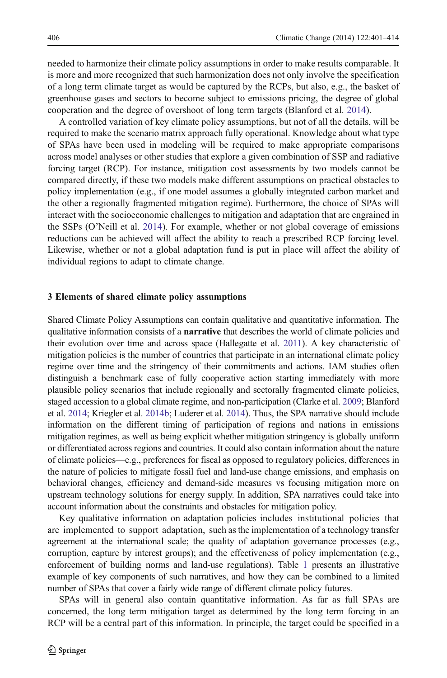<span id="page-5-0"></span>needed to harmonize their climate policy assumptions in order to make results comparable. It is more and more recognized that such harmonization does not only involve the specification of a long term climate target as would be captured by the RCPs, but also, e.g., the basket of greenhouse gases and sectors to become subject to emissions pricing, the degree of global cooperation and the degree of overshoot of long term targets (Blanford et al. [2014](#page-12-0)).

A controlled variation of key climate policy assumptions, but not of all the details, will be required to make the scenario matrix approach fully operational. Knowledge about what type of SPAs have been used in modeling will be required to make appropriate comparisons across model analyses or other studies that explore a given combination of SSP and radiative forcing target (RCP). For instance, mitigation cost assessments by two models cannot be compared directly, if these two models make different assumptions on practical obstacles to policy implementation (e.g., if one model assumes a globally integrated carbon market and the other a regionally fragmented mitigation regime). Furthermore, the choice of SPAs will interact with the socioeconomic challenges to mitigation and adaptation that are engrained in the SSPs (O'Neill et al. [2014\)](#page-12-0). For example, whether or not global coverage of emissions reductions can be achieved will affect the ability to reach a prescribed RCP forcing level. Likewise, whether or not a global adaptation fund is put in place will affect the ability of individual regions to adapt to climate change.

#### 3 Elements of shared climate policy assumptions

Shared Climate Policy Assumptions can contain qualitative and quantitative information. The qualitative information consists of a **narrative** that describes the world of climate policies and their evolution over time and across space (Hallegatte et al. [2011\)](#page-12-0). A key characteristic of mitigation policies is the number of countries that participate in an international climate policy regime over time and the stringency of their commitments and actions. IAM studies often distinguish a benchmark case of fully cooperative action starting immediately with more plausible policy scenarios that include regionally and sectorally fragmented climate policies, staged accession to a global climate regime, and non-participation (Clarke et al. [2009](#page-12-0); Blanford et al. [2014](#page-12-0); Kriegler et al. [2014b](#page-12-0); Luderer et al. [2014](#page-12-0)). Thus, the SPA narrative should include information on the different timing of participation of regions and nations in emissions mitigation regimes, as well as being explicit whether mitigation stringency is globally uniform or differentiated across regions and countries. It could also contain information about the nature of climate policies—e.g., preferences for fiscal as opposed to regulatory policies, differences in the nature of policies to mitigate fossil fuel and land-use change emissions, and emphasis on behavioral changes, efficiency and demand-side measures vs focusing mitigation more on upstream technology solutions for energy supply. In addition, SPA narratives could take into account information about the constraints and obstacles for mitigation policy.

Key qualitative information on adaptation policies includes institutional policies that are implemented to support adaptation, such as the implementation of a technology transfer agreement at the international scale; the quality of adaptation governance processes (e.g., corruption, capture by interest groups); and the effectiveness of policy implementation (e.g., enforcement of building norms and land-use regulations). Table [1](#page-6-0) presents an illustrative example of key components of such narratives, and how they can be combined to a limited number of SPAs that cover a fairly wide range of different climate policy futures.

SPAs will in general also contain quantitative information. As far as full SPAs are concerned, the long term mitigation target as determined by the long term forcing in an RCP will be a central part of this information. In principle, the target could be specified in a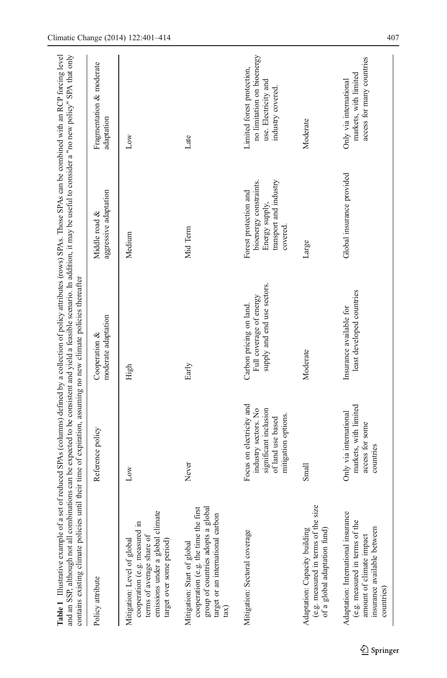<span id="page-6-0"></span>

| and an SSP, although not all combinations can be expected to be consistent and yield a feasible scenario. In addition, it may be useful to consider a "no new policy" SPA that only<br>Table 1 Illustrative example of a set of reduced SPAs (columns) defined by a collection of policy attributes (rows) SPAs. Those SPAs can be combined with an RCP forcing level<br>contains existing climate policies until their time of expiration, assuming no new climate policies thereafter |                                                                                                                       |                                                                                   |                                                                                                         |                                                                                                      |
|-----------------------------------------------------------------------------------------------------------------------------------------------------------------------------------------------------------------------------------------------------------------------------------------------------------------------------------------------------------------------------------------------------------------------------------------------------------------------------------------|-----------------------------------------------------------------------------------------------------------------------|-----------------------------------------------------------------------------------|---------------------------------------------------------------------------------------------------------|------------------------------------------------------------------------------------------------------|
| Policy attribute                                                                                                                                                                                                                                                                                                                                                                                                                                                                        | Reference policy                                                                                                      | moderate adaptation<br>Cooperation $\&$                                           | aggressive adaptation<br>Middle road &                                                                  | Fragmentation & moderate<br>adaptation                                                               |
| emissions under a global climate<br>cooperation (e.g. measured in<br>terms of average share of<br>Mitigation: Level of global<br>target over some period)                                                                                                                                                                                                                                                                                                                               | Low                                                                                                                   | High                                                                              | Medium                                                                                                  | Low                                                                                                  |
| cooperation (e.g. the time the first<br>group of countries adopts a globa<br>target or an international carbon<br>Mitigation: Start of global<br>(ax)                                                                                                                                                                                                                                                                                                                                   | Never                                                                                                                 | Early                                                                             | Mid Term                                                                                                | Late                                                                                                 |
| Mitigation: Sectoral coverage                                                                                                                                                                                                                                                                                                                                                                                                                                                           | Focus on electricity and<br>industry sectors. No<br>significant inclusion<br>mitigation options.<br>of land use based | supply and end use sectors.<br>Full coverage of energy<br>Carbon pricing on land. | bioenergy constraints.<br>transport and industry<br>Forest protection and<br>Energy supply,<br>covered. | no limitation on bioenergy<br>Limited forest protection,<br>use. Electricity and<br>industry covered |
| (e.g. measured in terms of the size<br>Adaptation: Capacity building<br>of a global adaptation fund)                                                                                                                                                                                                                                                                                                                                                                                    | Small                                                                                                                 | Moderate                                                                          | Large                                                                                                   | Moderate                                                                                             |
| Adaptation: International insurance<br>(e.g. measured in terms of the<br>insurance available between<br>amount of climate impact<br>countries)                                                                                                                                                                                                                                                                                                                                          | markets, with limited<br>Only via international<br>access for some<br>countries                                       | least developed countries<br>Insurance available for                              | Global insurance provided                                                                               | access for many countries<br>markets, with limited<br>Only via international                         |

 $\underline{\raisebox{.3ex}{\Leftrightarrow}}$  Springer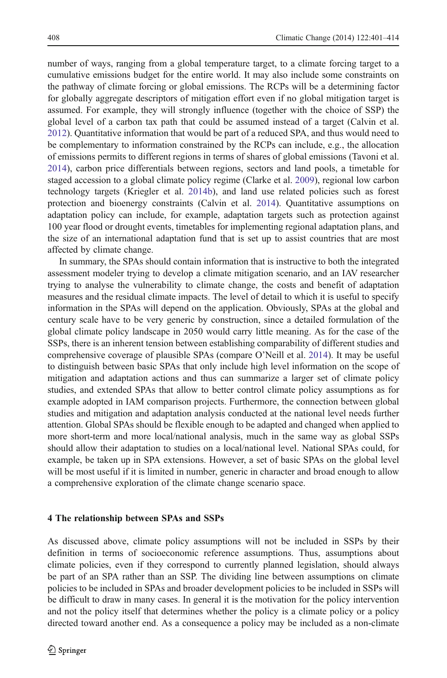<span id="page-7-0"></span>number of ways, ranging from a global temperature target, to a climate forcing target to a cumulative emissions budget for the entire world. It may also include some constraints on the pathway of climate forcing or global emissions. The RCPs will be a determining factor for globally aggregate descriptors of mitigation effort even if no global mitigation target is assumed. For example, they will strongly influence (together with the choice of SSP) the global level of a carbon tax path that could be assumed instead of a target (Calvin et al. [2012\)](#page-12-0). Quantitative information that would be part of a reduced SPA, and thus would need to be complementary to information constrained by the RCPs can include, e.g., the allocation of emissions permits to different regions in terms of shares of global emissions (Tavoni et al. [2014\)](#page-12-0), carbon price differentials between regions, sectors and land pools, a timetable for staged accession to a global climate policy regime (Clarke et al. [2009](#page-12-0)), regional low carbon technology targets (Kriegler et al. [2014b\)](#page-12-0), and land use related policies such as forest protection and bioenergy constraints (Calvin et al. [2014](#page-12-0)). Quantitative assumptions on adaptation policy can include, for example, adaptation targets such as protection against 100 year flood or drought events, timetables for implementing regional adaptation plans, and the size of an international adaptation fund that is set up to assist countries that are most affected by climate change.

In summary, the SPAs should contain information that is instructive to both the integrated assessment modeler trying to develop a climate mitigation scenario, and an IAV researcher trying to analyse the vulnerability to climate change, the costs and benefit of adaptation measures and the residual climate impacts. The level of detail to which it is useful to specify information in the SPAs will depend on the application. Obviously, SPAs at the global and century scale have to be very generic by construction, since a detailed formulation of the global climate policy landscape in 2050 would carry little meaning. As for the case of the SSPs, there is an inherent tension between establishing comparability of different studies and comprehensive coverage of plausible SPAs (compare O'Neill et al. [2014\)](#page-12-0). It may be useful to distinguish between basic SPAs that only include high level information on the scope of mitigation and adaptation actions and thus can summarize a larger set of climate policy studies, and extended SPAs that allow to better control climate policy assumptions as for example adopted in IAM comparison projects. Furthermore, the connection between global studies and mitigation and adaptation analysis conducted at the national level needs further attention. Global SPAs should be flexible enough to be adapted and changed when applied to more short-term and more local/national analysis, much in the same way as global SSPs should allow their adaptation to studies on a local/national level. National SPAs could, for example, be taken up in SPA extensions. However, a set of basic SPAs on the global level will be most useful if it is limited in number, generic in character and broad enough to allow a comprehensive exploration of the climate change scenario space.

## 4 The relationship between SPAs and SSPs

As discussed above, climate policy assumptions will not be included in SSPs by their definition in terms of socioeconomic reference assumptions. Thus, assumptions about climate policies, even if they correspond to currently planned legislation, should always be part of an SPA rather than an SSP. The dividing line between assumptions on climate policies to be included in SPAs and broader development policies to be included in SSPs will be difficult to draw in many cases. In general it is the motivation for the policy intervention and not the policy itself that determines whether the policy is a climate policy or a policy directed toward another end. As a consequence a policy may be included as a non-climate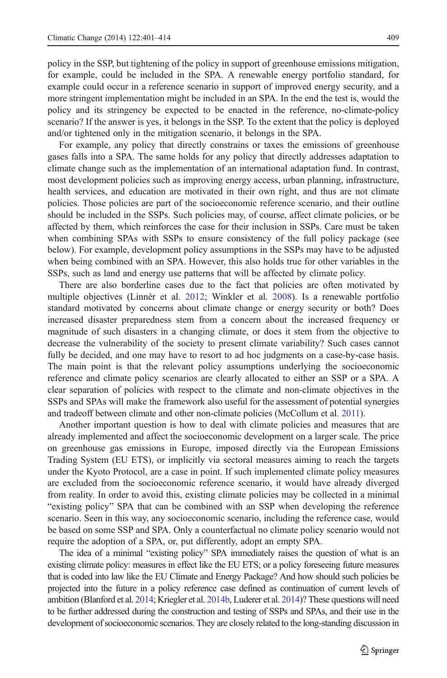policy in the SSP, but tightening of the policy in support of greenhouse emissions mitigation, for example, could be included in the SPA. A renewable energy portfolio standard, for example could occur in a reference scenario in support of improved energy security, and a more stringent implementation might be included in an SPA. In the end the test is, would the policy and its stringency be expected to be enacted in the reference, no-climate-policy scenario? If the answer is yes, it belongs in the SSP. To the extent that the policy is deployed and/or tightened only in the mitigation scenario, it belongs in the SPA.

For example, any policy that directly constrains or taxes the emissions of greenhouse gases falls into a SPA. The same holds for any policy that directly addresses adaptation to climate change such as the implementation of an international adaptation fund. In contrast, most development policies such as improving energy access, urban planning, infrastructure, health services, and education are motivated in their own right, and thus are not climate policies. Those policies are part of the socioeconomic reference scenario, and their outline should be included in the SSPs. Such policies may, of course, affect climate policies, or be affected by them, which reinforces the case for their inclusion in SSPs. Care must be taken when combining SPAs with SSPs to ensure consistency of the full policy package (see below). For example, development policy assumptions in the SSPs may have to be adjusted when being combined with an SPA. However, this also holds true for other variables in the SSPs, such as land and energy use patterns that will be affected by climate policy.

There are also borderline cases due to the fact that policies are often motivated by multiple objectives (Linnér et al. [2012](#page-12-0); Winkler et al. [2008\)](#page-13-0). Is a renewable portfolio standard motivated by concerns about climate change or energy security or both? Does increased disaster preparedness stem from a concern about the increased frequency or magnitude of such disasters in a changing climate, or does it stem from the objective to decrease the vulnerability of the society to present climate variability? Such cases cannot fully be decided, and one may have to resort to ad hoc judgments on a case-by-case basis. The main point is that the relevant policy assumptions underlying the socioeconomic reference and climate policy scenarios are clearly allocated to either an SSP or a SPA. A clear separation of policies with respect to the climate and non-climate objectives in the SSPs and SPAs will make the framework also useful for the assessment of potential synergies and tradeoff between climate and other non-climate policies (McCollum et al. [2011](#page-12-0)).

Another important question is how to deal with climate policies and measures that are already implemented and affect the socioeconomic development on a larger scale. The price on greenhouse gas emissions in Europe, imposed directly via the European Emissions Trading System (EU ETS), or implicitly via sectoral measures aiming to reach the targets under the Kyoto Protocol, are a case in point. If such implemented climate policy measures are excluded from the socioeconomic reference scenario, it would have already diverged from reality. In order to avoid this, existing climate policies may be collected in a minimal "existing policy" SPA that can be combined with an SSP when developing the reference scenario. Seen in this way, any socioeconomic scenario, including the reference case, would be based on some SSP and SPA. Only a counterfactual no climate policy scenario would not require the adoption of a SPA, or, put differently, adopt an empty SPA.

The idea of a minimal "existing policy" SPA immediately raises the question of what is an existing climate policy: measures in effect like the EU ETS; or a policy foreseeing future measures that is coded into law like the EU Climate and Energy Package? And how should such policies be projected into the future in a policy reference case defined as continuation of current levels of ambition (Blanford et al. [2014;](#page-12-0) Kriegler et al. [2014b,](#page-12-0) Luderer et al. [2014\)](#page-12-0)? These questions will need to be further addressed during the construction and testing of SSPs and SPAs, and their use in the development of socioeconomic scenarios. They are closely related to the long-standing discussion in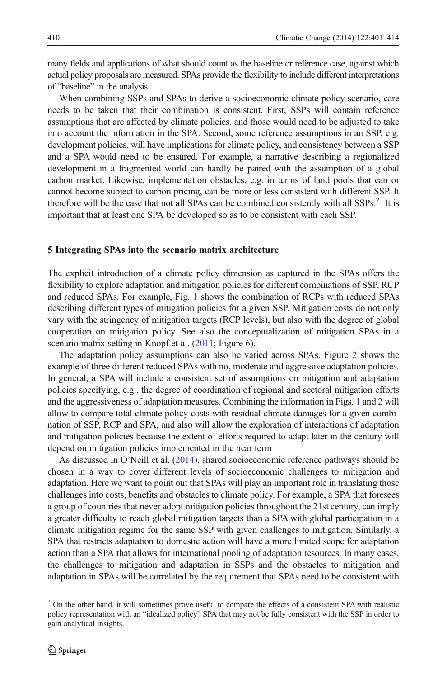<span id="page-9-0"></span>many fields and applications of what should count as the baseline or reference case, against which actual policy proposals are measured. SPAs provide the flexibility to include different interpretations of "baseline" in the analysis.

When combining SSPs and SPAs to derive a socioeconomic climate policy scenario, care needs to be taken that their combination is consistent. First, SSPs will contain reference assumptions that are affected by climate policies, and those would need to be adjusted to take into account the information in the SPA. Second, some reference assumptions in an SSP, e.g. development policies, will have implications for climate policy, and consistency between a SSP and a SPA would need to be ensured. For example, a narrative describing a regionalized development in a fragmented world can hardly be paired with the assumption of a global carbon market. Likewise, implementation obstacles, e.g. in terms of land pools that can or cannot become subject to carbon pricing, can be more or less consistent with different SSP. It therefore will be the case that not all SPAs can be combined consistently with all SSPs.<sup>2</sup> It is important that at least one SPA be developed so as to be consistent with each SSP.

#### 5 Integrating SPAs into the scenario matrix architecture

The explicit introduction of a climate policy dimension as captured in the SPAs offers the flexibility to explore adaptation and mitigation policies for different combinations of SSP, RCP and reduced SPAs. For example, Fig. [1](#page-10-0) shows the combination of RCPs with reduced SPAs describing different types of mitigation policies for a given SSP. Mitigation costs do not only vary with the stringency of mitigation targets (RCP levels), but also with the degree of global cooperation on mitigation policy. See also the conceptualization of mitigation SPAs in a scenario matrix setting in Knopf et al. ([2011](#page-12-0); Figure 6).

The adaptation policy assumptions can also be varied across SPAs. Figure [2](#page-10-0) shows the example of three different reduced SPAs with no, moderate and aggressive adaptation policies. In general, a SPA will include a consistent set of assumptions on mitigation and adaptation policies specifying, e.g., the degree of coordination of regional and sectoral mitigation efforts and the aggressiveness of adaptation measures. Combining the information in Figs. [1](#page-10-0) and [2](#page-10-0) will allow to compare total climate policy costs with residual climate damages for a given combination of SSP, RCP and SPA, and also will allow the exploration of interactions of adaptation and mitigation policies because the extent of efforts required to adapt later in the century will depend on mitigation policies implemented in the near term

As discussed in O'Neill et al. [\(2014\)](#page-12-0), shared socioeconomic reference pathways should be chosen in a way to cover different levels of socioeconomic challenges to mitigation and adaptation. Here we want to point out that SPAs will play an important role in translating those challenges into costs, benefits and obstacles to climate policy. For example, a SPA that foresees a group of countries that never adopt mitigation policies throughout the 21st century, can imply a greater difficulty to reach global mitigation targets than a SPA with global participation in a climate mitigation regime for the same SSP with given challenges to mitigation. Similarly, a SPA that restricts adaptation to domestic action will have a more limited scope for adaptation action than a SPA that allows for international pooling of adaptation resources. In many cases, the challenges to mitigation and adaptation in SSPs and the obstacles to mitigation and adaptation in SPAs will be correlated by the requirement that SPAs need to be consistent with

<sup>&</sup>lt;sup>2</sup> On the other hand, it will sometimes prove useful to compare the effects of a consistent SPA with realistic policy representation with an "idealized policy" SPA that may not be fully consistent with the SSP in order to gain analytical insights.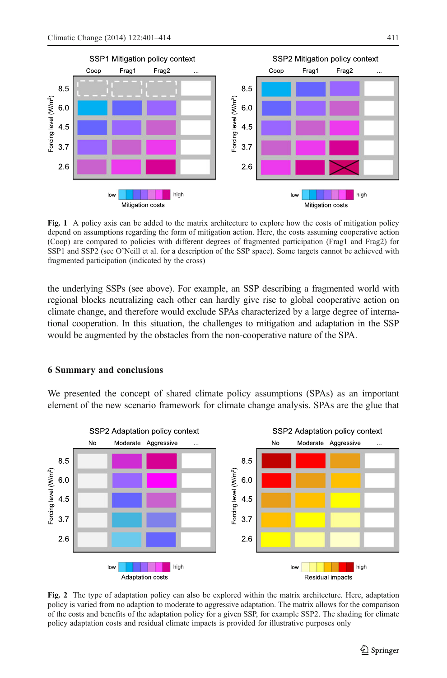<span id="page-10-0"></span>

Fig. 1 A policy axis can be added to the matrix architecture to explore how the costs of mitigation policy depend on assumptions regarding the form of mitigation action. Here, the costs assuming cooperative action (Coop) are compared to policies with different degrees of fragmented participation (Frag1 and Frag2) for SSP1 and SSP2 (see O'Neill et al. for a description of the SSP space). Some targets cannot be achieved with fragmented participation (indicated by the cross)

the underlying SSPs (see above). For example, an SSP describing a fragmented world with regional blocks neutralizing each other can hardly give rise to global cooperative action on climate change, and therefore would exclude SPAs characterized by a large degree of international cooperation. In this situation, the challenges to mitigation and adaptation in the SSP would be augmented by the obstacles from the non-cooperative nature of the SPA.

## 6 Summary and conclusions

We presented the concept of shared climate policy assumptions (SPAs) as an important element of the new scenario framework for climate change analysis. SPAs are the glue that



Fig. 2 The type of adaptation policy can also be explored within the matrix architecture. Here, adaptation policy is varied from no adaption to moderate to aggressive adaptation. The matrix allows for the comparison of the costs and benefits of the adaptation policy for a given SSP, for example SSP2. The shading for climate policy adaptation costs and residual climate impacts is provided for illustrative purposes only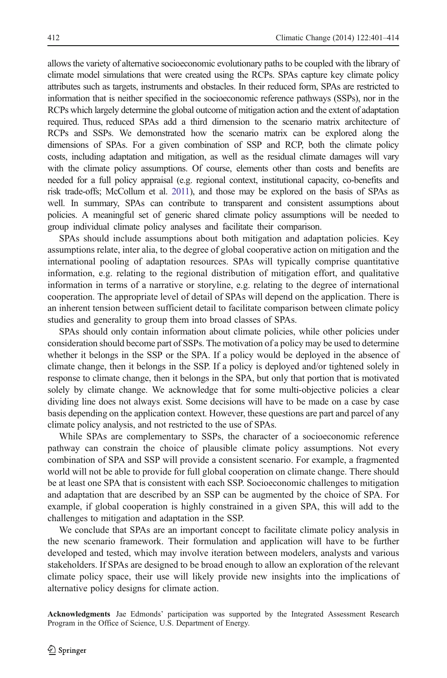allows the variety of alternative socioeconomic evolutionary paths to be coupled with the library of climate model simulations that were created using the RCPs. SPAs capture key climate policy attributes such as targets, instruments and obstacles. In their reduced form, SPAs are restricted to information that is neither specified in the socioeconomic reference pathways (SSPs), nor in the RCPs which largely determine the global outcome of mitigation action and the extent of adaptation required. Thus, reduced SPAs add a third dimension to the scenario matrix architecture of RCPs and SSPs. We demonstrated how the scenario matrix can be explored along the dimensions of SPAs. For a given combination of SSP and RCP, both the climate policy costs, including adaptation and mitigation, as well as the residual climate damages will vary with the climate policy assumptions. Of course, elements other than costs and benefits are needed for a full policy appraisal (e.g. regional context, institutional capacity, co-benefits and risk trade-offs; McCollum et al. [2011\)](#page-12-0), and those may be explored on the basis of SPAs as well. In summary, SPAs can contribute to transparent and consistent assumptions about policies. A meaningful set of generic shared climate policy assumptions will be needed to group individual climate policy analyses and facilitate their comparison.

SPAs should include assumptions about both mitigation and adaptation policies. Key assumptions relate, inter alia, to the degree of global cooperative action on mitigation and the international pooling of adaptation resources. SPAs will typically comprise quantitative information, e.g. relating to the regional distribution of mitigation effort, and qualitative information in terms of a narrative or storyline, e.g. relating to the degree of international cooperation. The appropriate level of detail of SPAs will depend on the application. There is an inherent tension between sufficient detail to facilitate comparison between climate policy studies and generality to group them into broad classes of SPAs.

SPAs should only contain information about climate policies, while other policies under consideration should become part of SSPs. The motivation of a policy may be used to determine whether it belongs in the SSP or the SPA. If a policy would be deployed in the absence of climate change, then it belongs in the SSP. If a policy is deployed and/or tightened solely in response to climate change, then it belongs in the SPA, but only that portion that is motivated solely by climate change. We acknowledge that for some multi-objective policies a clear dividing line does not always exist. Some decisions will have to be made on a case by case basis depending on the application context. However, these questions are part and parcel of any climate policy analysis, and not restricted to the use of SPAs.

While SPAs are complementary to SSPs, the character of a socioeconomic reference pathway can constrain the choice of plausible climate policy assumptions. Not every combination of SPA and SSP will provide a consistent scenario. For example, a fragmented world will not be able to provide for full global cooperation on climate change. There should be at least one SPA that is consistent with each SSP. Socioeconomic challenges to mitigation and adaptation that are described by an SSP can be augmented by the choice of SPA. For example, if global cooperation is highly constrained in a given SPA, this will add to the challenges to mitigation and adaptation in the SSP.

We conclude that SPAs are an important concept to facilitate climate policy analysis in the new scenario framework. Their formulation and application will have to be further developed and tested, which may involve iteration between modelers, analysts and various stakeholders. If SPAs are designed to be broad enough to allow an exploration of the relevant climate policy space, their use will likely provide new insights into the implications of alternative policy designs for climate action.

Acknowledgments Jae Edmonds' participation was supported by the Integrated Assessment Research Program in the Office of Science, U.S. Department of Energy.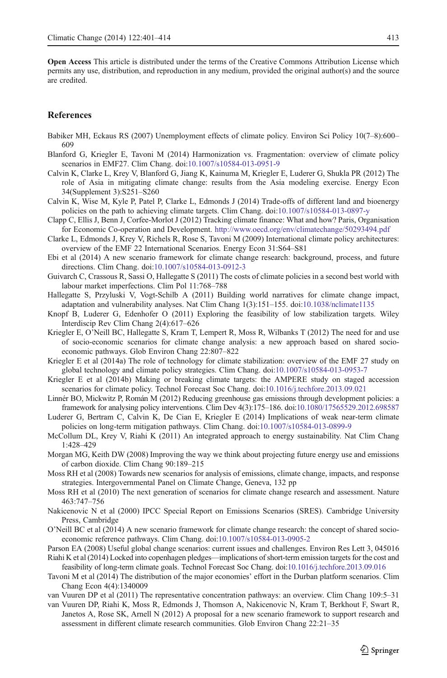<span id="page-12-0"></span>Open Access This article is distributed under the terms of the Creative Commons Attribution License which permits any use, distribution, and reproduction in any medium, provided the original author(s) and the source are credited.

## References

- Babiker MH, Eckaus RS (2007) Unemployment effects of climate policy. Environ Sci Policy 10(7–8):600– 609
- Blanford G, Kriegler E, Tavoni M (2014) Harmonization vs. Fragmentation: overview of climate policy scenarios in EMF27. Clim Chang. doi:[10.1007/s10584-013-0951-9](http://dx.doi.org/10.1007/s10584-013-0951-9)
- Calvin K, Clarke L, Krey V, Blanford G, Jiang K, Kainuma M, Kriegler E, Luderer G, Shukla PR (2012) The role of Asia in mitigating climate change: results from the Asia modeling exercise. Energy Econ 34(Supplement 3):S251–S260
- Calvin K, Wise M, Kyle P, Patel P, Clarke L, Edmonds J (2014) Trade-offs of different land and bioenergy policies on the path to achieving climate targets. Clim Chang. doi[:10.1007/s10584-013-0897-y](http://dx.doi.org/10.1007/s10584-013-0897-y)
- Clapp C, Ellis J, Benn J, Corfee-Morlot J (2012) Tracking climate finance: What and how? Paris, Organisation for Economic Co-operation and Development. <http://www.oecd.org/env/climatechange/50293494.pdf>
- Clarke L, Edmonds J, Krey V, Richels R, Rose S, Tavoni M (2009) International climate policy architectures: overview of the EMF 22 International Scenarios. Energy Econ 31:S64–S81
- Ebi et al (2014) A new scenario framework for climate change research: background, process, and future directions. Clim Chang. doi[:10.1007/s10584-013-0912-3](http://dx.doi.org/10.1007/s10584-013-0912-3)
- Guivarch C, Crassous R, Sassi O, Hallegatte S (2011) The costs of climate policies in a second best world with labour market imperfections. Clim Pol 11:768–788
- Hallegatte S, Przyluski V, Vogt-Schilb A (2011) Building world narratives for climate change impact, adaptation and vulnerability analyses. Nat Clim Chang 1(3):151–155. doi:[10.1038/nclimate1135](http://dx.doi.org/10.1038/nclimate1135)
- Knopf B, Luderer G, Edenhofer O (2011) Exploring the feasibility of low stabilization targets. Wiley Interdiscip Rev Clim Chang 2(4):617–626
- Kriegler E, O'Neill BC, Hallegatte S, Kram T, Lempert R, Moss R, Wilbanks T (2012) The need for and use of socio-economic scenarios for climate change analysis: a new approach based on shared socioeconomic pathways. Glob Environ Chang 22:807–822
- Kriegler E et al (2014a) The role of technology for climate stabilization: overview of the EMF 27 study on global technology and climate policy strategies. Clim Chang. doi[:10.1007/s10584-013-0953-7](http://dx.doi.org/10.1007/s10584-013-0953-7)
- Kriegler E et al (2014b) Making or breaking climate targets: the AMPERE study on staged accession scenarios for climate policy. Technol Forecast Soc Chang. doi[:10.1016/j.techfore.2013.09.021](http://dx.doi.org/10.1016/j.techfore.2013.09.021)
- Linnér BO, Mickwitz P, Román M (2012) Reducing greenhouse gas emissions through development policies: a framework for analysing policy interventions. Clim Dev 4(3):175–186. doi:[10.1080/17565529.2012.698587](http://dx.doi.org/10.1080/17565529.2012.698587)
- Luderer G, Bertram C, Calvin K, De Cian E, Kriegler E (2014) Implications of weak near-term climate policies on long-term mitigation pathways. Clim Chang. doi:[10.1007/s10584-013-0899-9](http://dx.doi.org/10.1007/s10584-013-0899-9)
- McCollum DL, Krey V, Riahi K (2011) An integrated approach to energy sustainability. Nat Clim Chang 1:428–429
- Morgan MG, Keith DW (2008) Improving the way we think about projecting future energy use and emissions of carbon dioxide. Clim Chang 90:189–215
- Moss RH et al (2008) Towards new scenarios for analysis of emissions, climate change, impacts, and response strategies. Intergovernmental Panel on Climate Change, Geneva, 132 pp
- Moss RH et al (2010) The next generation of scenarios for climate change research and assessment. Nature 463:747–756
- Nakicenovic N et al (2000) IPCC Special Report on Emissions Scenarios (SRES). Cambridge University Press, Cambridge
- O'Neill BC et al (2014) A new scenario framework for climate change research: the concept of shared socioeconomic reference pathways. Clim Chang. doi:[10.1007/s10584-013-0905-2](http://dx.doi.org/10.1007/s10584-013-0905-2)
- Parson EA (2008) Useful global change scenarios: current issues and challenges. Environ Res Lett 3, 045016 Riahi K et al (2014) Locked into copenhagen pledges—implications of short-term emission targets for the cost and
- feasibility of long-term climate goals. Technol Forecast Soc Chang. doi[:10.1016/j.techfore.2013.09.016](http://dx.doi.org/10.1016/j.techfore.2013.09.016)
- Tavoni M et al (2014) The distribution of the major economies' effort in the Durban platform scenarios. Clim Chang Econ 4(4):1340009
- van Vuuren DP et al (2011) The representative concentration pathways: an overview. Clim Chang 109:5–31
- van Vuuren DP, Riahi K, Moss R, Edmonds J, Thomson A, Nakicenovic N, Kram T, Berkhout F, Swart R, Janetos A, Rose SK, Arnell N (2012) A proposal for a new scenario framework to support research and assessment in different climate research communities. Glob Environ Chang 22:21–35